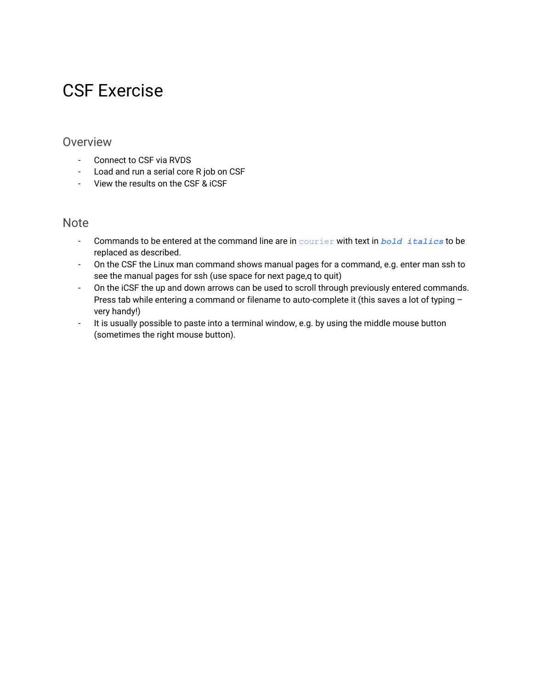# CSF Exercise

#### Overview

- Connect to CSF via RVDS
- Load and run a serial core R job on CSF
- View the results on the CSF & iCSF

#### **Note**

- Commands to be entered at the command line are in courier with text in *bold italics* to be replaced as described.
- On the CSF the Linux man command shows manual pages for a command, e.g. enter man ssh to see the manual pages for ssh (use space for next page,q to quit)
- On the iCSF the up and down arrows can be used to scroll through previously entered commands. Press tab while entering a command or filename to auto-complete it (this saves a lot of typing – very handy!)
- It is usually possible to paste into a terminal window, e.g. by using the middle mouse button (sometimes the right mouse button).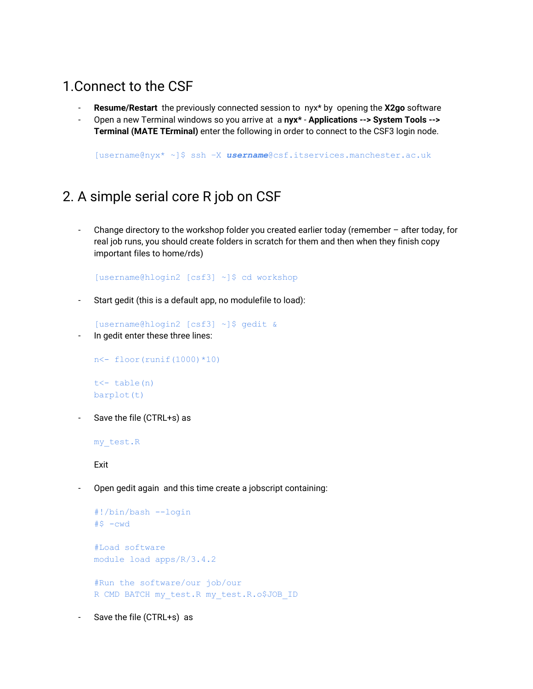### 1.Connect to the CSF

- **Resume/Restart** the previously connected session to nyx\* by opening the **X2go** software
- Open a new Terminal windows so you arrive at a **nyx\* Applications -‐> System Tools -‐> Terminal (MATE TErminal)** enter the following in order to connect to the CSF3 login node.

[username@nyx\* ~]\$ ssh –X *username*@csf.itservices.manchester.ac.uk

#### 2. A simple serial core R job on CSF

- Change directory to the workshop folder you created earlier today (remember – after today, for real job runs, you should create folders in scratch for them and then when they finish copy important files to home/rds)

[username@hlogin2 [csf3] ~]\$ cd workshop

- Start gedit (this is a default app, no modulefile to load):

[username@hlogin2 [csf3] ~]\$ gedit &

In gedit enter these three lines:

```
n<- floor(runif(1000)*10)
t<- table(n)
barplot(t)
```
Save the file (CTRL+s) as

my\_test.R

Exit

- Open gedit again and this time create a jobscript containing:

```
#!/bin/bash --login
#S -cwd
#Load software
module load apps/R/3.4.2
#Run the software/our job/our
R CMD BATCH my_test.R my_test.R.o$JOB_ID
```
Save the file (CTRL+s) as